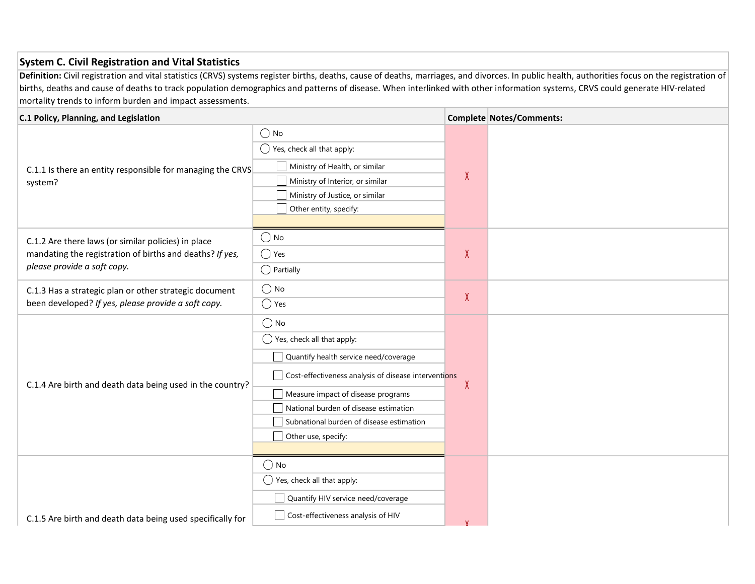## System C. Civil Registration and Vital Statistics

Definition: Civil registration and vital statistics (CRVS) systems register births, deaths, cause of deaths, marriages, and divorces. In public health, authorities focus on the registration of births, deaths and cause of deaths to track population demographics and patterns of disease. When interlinked with other information systems, CRVS could generate HIV-related mortality trends to inform burden and impact assessments.

| C.1 Policy, Planning, and Legislation                                                                                                          |                                                                                                                                                                                                                                                                                                                  |              | <b>Complete Notes/Comments:</b> |
|------------------------------------------------------------------------------------------------------------------------------------------------|------------------------------------------------------------------------------------------------------------------------------------------------------------------------------------------------------------------------------------------------------------------------------------------------------------------|--------------|---------------------------------|
| C.1.1 Is there an entity responsible for managing the CRVS<br>system?                                                                          | $\bigcirc$ No<br>$\bigcirc$ Yes, check all that apply:<br>Ministry of Health, or similar<br>Ministry of Interior, or similar<br>Ministry of Justice, or similar<br>Other entity, specify:                                                                                                                        | $\chi$       |                                 |
| C.1.2 Are there laws (or similar policies) in place<br>mandating the registration of births and deaths? If yes,<br>please provide a soft copy. | $\bigcirc$ No<br>$\bigcirc$ Yes<br>$\bigcirc$ Partially                                                                                                                                                                                                                                                          | $\chi$       |                                 |
| C.1.3 Has a strategic plan or other strategic document<br>been developed? If yes, please provide a soft copy.                                  | $\bigcirc$ No<br>$\bigcirc$ Yes                                                                                                                                                                                                                                                                                  | $\pmb{\chi}$ |                                 |
| C.1.4 Are birth and death data being used in the country?                                                                                      | $\bigcirc$ No<br>$\bigcirc$ Yes, check all that apply:<br>Quantify health service need/coverage<br>Cost-effectiveness analysis of disease interventions<br>$\Box$ Measure impact of disease programs<br>National burden of disease estimation<br>Subnational burden of disease estimation<br>Other use, specify: | X            |                                 |
| C.1.5 Are birth and death data being used specifically for                                                                                     | $\bigcirc$ No<br>$\bigcirc$ Yes, check all that apply:<br>Quantify HIV service need/coverage<br>Cost-effectiveness analysis of HIV                                                                                                                                                                               |              |                                 |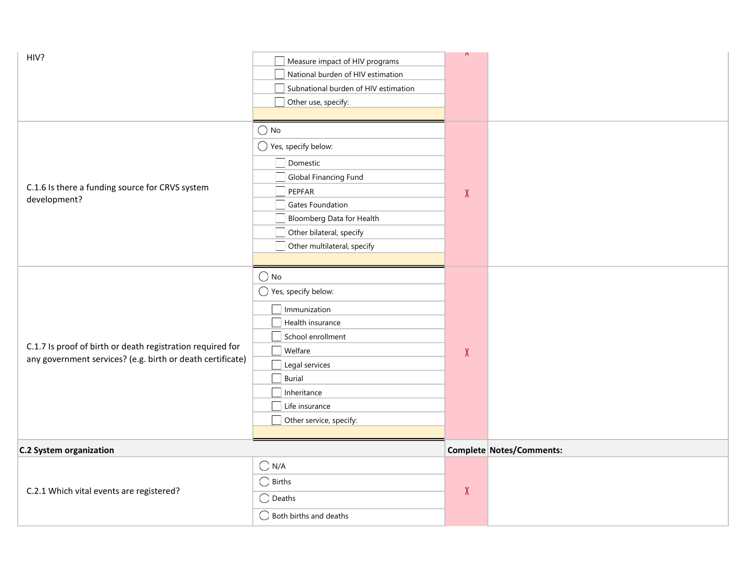| HIV?                                                                                                                     | Measure impact of HIV programs<br>National burden of HIV estimation<br>Subnational burden of HIV estimation<br>Other use, specify:                                                                                                      | $\sqrt{ }$ |                          |
|--------------------------------------------------------------------------------------------------------------------------|-----------------------------------------------------------------------------------------------------------------------------------------------------------------------------------------------------------------------------------------|------------|--------------------------|
| C.1.6 Is there a funding source for CRVS system<br>development?                                                          | $\bigcirc$ No<br>$\bigcirc$ Yes, specify below:<br>Domestic<br>Global Financing Fund<br>PEPFAR<br>Gates Foundation<br>Bloomberg Data for Health<br>Other bilateral, specify<br>Other multilateral, specify                              | $\chi$     |                          |
| C.1.7 Is proof of birth or death registration required for<br>any government services? (e.g. birth or death certificate) | $\bigcirc$ No<br>$\bigcirc$ Yes, specify below:<br>Immunization<br>Health insurance<br>School enrollment<br>$\Box$ Welfare<br>$\Box$ Legal services<br>$\Box$ Burial<br>Inheritance<br>$\Box$ Life insurance<br>Other service, specify: | $\chi$     |                          |
| <b>C.2 System organization</b>                                                                                           |                                                                                                                                                                                                                                         |            | Complete Notes/Comments: |
| C.2.1 Which vital events are registered?                                                                                 | $\bigcirc$ N/A<br>$\bigcirc$ Births<br>$\bigcirc$ Deaths<br>$\bigcirc$ Both births and deaths                                                                                                                                           | $\chi$     |                          |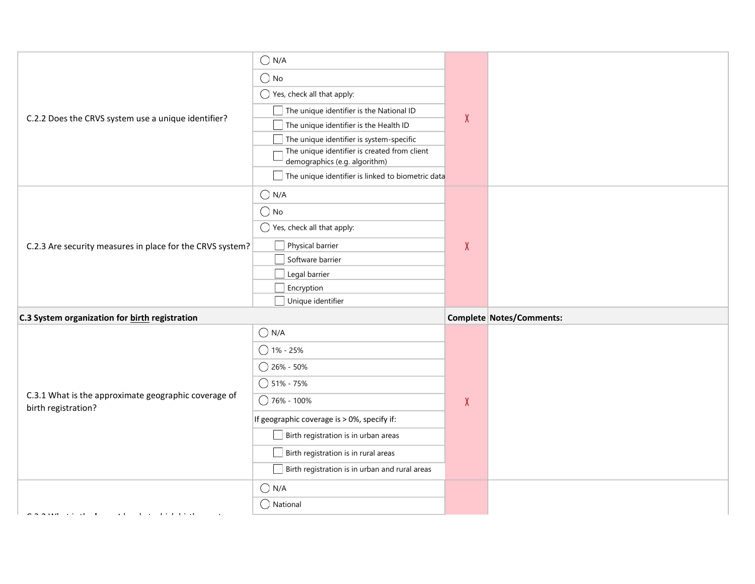|                                                           | $\bigcirc$ N/A                                                                |              |                                 |
|-----------------------------------------------------------|-------------------------------------------------------------------------------|--------------|---------------------------------|
|                                                           | $\bigcirc$ No                                                                 |              |                                 |
|                                                           | $\bigcirc$ Yes, check all that apply:                                         |              |                                 |
|                                                           | $\Box$ The unique identifier is the National ID                               |              |                                 |
| C.2.2 Does the CRVS system use a unique identifier?       | $\Box$ The unique identifier is the Health ID                                 | $\chi$       |                                 |
|                                                           | $\Box$ The unique identifier is system-specific                               |              |                                 |
|                                                           | The unique identifier is created from client<br>demographics (e.g. algorithm) |              |                                 |
|                                                           | The unique identifier is linked to biometric data                             |              |                                 |
|                                                           | $\bigcirc$ N/A                                                                |              |                                 |
|                                                           | $\bigcirc$ No                                                                 |              |                                 |
|                                                           | $\bigcirc$ Yes, check all that apply:                                         |              |                                 |
| C.2.3 Are security measures in place for the CRVS system? | Physical barrier                                                              | $\chi$       |                                 |
|                                                           | Software barrier                                                              |              |                                 |
|                                                           | Legal barrier                                                                 |              |                                 |
|                                                           | Encryption                                                                    |              |                                 |
|                                                           |                                                                               |              |                                 |
|                                                           | Unique identifier                                                             |              |                                 |
| C.3 System organization for birth registration            |                                                                               |              | <b>Complete Notes/Comments:</b> |
|                                                           | $\bigcirc$ N/A                                                                |              |                                 |
|                                                           | $\bigcirc$ 1% - 25%                                                           |              |                                 |
|                                                           | $\bigcirc$ 26% - 50%                                                          |              |                                 |
|                                                           | $\bigcirc$ 51% - 75%                                                          |              |                                 |
| C.3.1 What is the approximate geographic coverage of      | ◯ 76% - 100%                                                                  | $\mathsf{X}$ |                                 |
| birth registration?                                       | If geographic coverage is > 0%, specify if:                                   |              |                                 |
|                                                           | $\Box$ Birth registration is in urban areas                                   |              |                                 |
|                                                           | $\Box$ Birth registration is in rural areas                                   |              |                                 |
|                                                           | Birth registration is in urban and rural areas                                |              |                                 |
|                                                           | $\bigcirc$ N/A                                                                |              |                                 |
|                                                           | $\bigcirc$ National                                                           |              |                                 |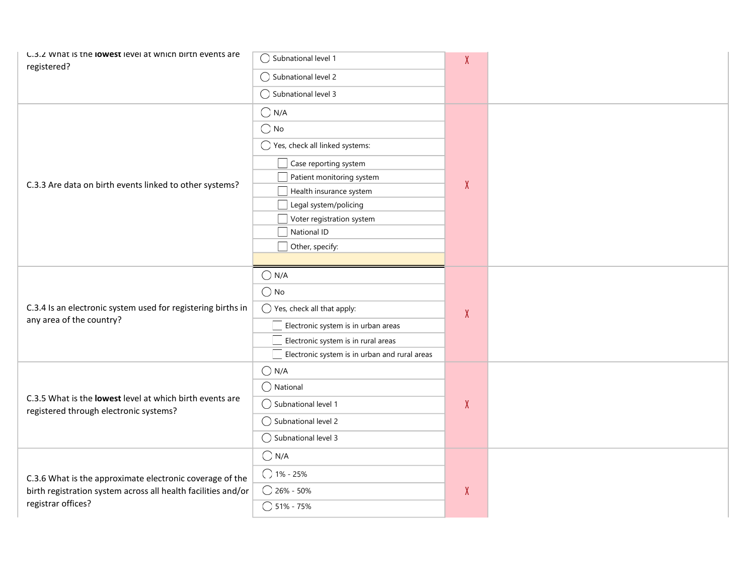| registered?<br>$\bigcirc$ Subnational level 2<br>$\bigcirc$ Subnational level 3<br>$\bigcirc$ N/A<br>$\bigcirc$ No<br>$\bigcirc$ Yes, check all linked systems:<br>Case reporting system<br>Patient monitoring system<br>$\pmb{\chi}$<br>C.3.3 Are data on birth events linked to other systems?<br>Health insurance system<br>Legal system/policing<br>Voter registration system<br>National ID<br>Other, specify:<br>$\bigcirc$ N/A<br>$\bigcirc$ No<br>C.3.4 Is an electronic system used for registering births in<br>$\bigcirc$ Yes, check all that apply:<br>X<br>any area of the country?<br>Electronic system is in urban areas<br>Electronic system is in rural areas<br>$\Box$ Electronic system is in urban and rural areas<br>$\bigcirc$ N/A<br>$\bigcirc$ National<br>C.3.5 What is the lowest level at which birth events are<br>◯ Subnational level 1<br>X<br>registered through electronic systems?<br>$\bigcirc$ Subnational level 2 | C.3.2 What is the lowest level at which birth events are | ◯ Subnational level 1 | X |  |
|-------------------------------------------------------------------------------------------------------------------------------------------------------------------------------------------------------------------------------------------------------------------------------------------------------------------------------------------------------------------------------------------------------------------------------------------------------------------------------------------------------------------------------------------------------------------------------------------------------------------------------------------------------------------------------------------------------------------------------------------------------------------------------------------------------------------------------------------------------------------------------------------------------------------------------------------------------|----------------------------------------------------------|-----------------------|---|--|
|                                                                                                                                                                                                                                                                                                                                                                                                                                                                                                                                                                                                                                                                                                                                                                                                                                                                                                                                                       |                                                          |                       |   |  |
|                                                                                                                                                                                                                                                                                                                                                                                                                                                                                                                                                                                                                                                                                                                                                                                                                                                                                                                                                       |                                                          |                       |   |  |
|                                                                                                                                                                                                                                                                                                                                                                                                                                                                                                                                                                                                                                                                                                                                                                                                                                                                                                                                                       |                                                          |                       |   |  |
|                                                                                                                                                                                                                                                                                                                                                                                                                                                                                                                                                                                                                                                                                                                                                                                                                                                                                                                                                       |                                                          |                       |   |  |
|                                                                                                                                                                                                                                                                                                                                                                                                                                                                                                                                                                                                                                                                                                                                                                                                                                                                                                                                                       |                                                          |                       |   |  |
|                                                                                                                                                                                                                                                                                                                                                                                                                                                                                                                                                                                                                                                                                                                                                                                                                                                                                                                                                       |                                                          |                       |   |  |
|                                                                                                                                                                                                                                                                                                                                                                                                                                                                                                                                                                                                                                                                                                                                                                                                                                                                                                                                                       |                                                          |                       |   |  |
|                                                                                                                                                                                                                                                                                                                                                                                                                                                                                                                                                                                                                                                                                                                                                                                                                                                                                                                                                       |                                                          |                       |   |  |
|                                                                                                                                                                                                                                                                                                                                                                                                                                                                                                                                                                                                                                                                                                                                                                                                                                                                                                                                                       |                                                          |                       |   |  |
|                                                                                                                                                                                                                                                                                                                                                                                                                                                                                                                                                                                                                                                                                                                                                                                                                                                                                                                                                       |                                                          |                       |   |  |
|                                                                                                                                                                                                                                                                                                                                                                                                                                                                                                                                                                                                                                                                                                                                                                                                                                                                                                                                                       |                                                          |                       |   |  |
|                                                                                                                                                                                                                                                                                                                                                                                                                                                                                                                                                                                                                                                                                                                                                                                                                                                                                                                                                       |                                                          |                       |   |  |
|                                                                                                                                                                                                                                                                                                                                                                                                                                                                                                                                                                                                                                                                                                                                                                                                                                                                                                                                                       |                                                          |                       |   |  |
|                                                                                                                                                                                                                                                                                                                                                                                                                                                                                                                                                                                                                                                                                                                                                                                                                                                                                                                                                       |                                                          |                       |   |  |
|                                                                                                                                                                                                                                                                                                                                                                                                                                                                                                                                                                                                                                                                                                                                                                                                                                                                                                                                                       |                                                          |                       |   |  |
|                                                                                                                                                                                                                                                                                                                                                                                                                                                                                                                                                                                                                                                                                                                                                                                                                                                                                                                                                       |                                                          |                       |   |  |
|                                                                                                                                                                                                                                                                                                                                                                                                                                                                                                                                                                                                                                                                                                                                                                                                                                                                                                                                                       |                                                          |                       |   |  |
|                                                                                                                                                                                                                                                                                                                                                                                                                                                                                                                                                                                                                                                                                                                                                                                                                                                                                                                                                       |                                                          |                       |   |  |
|                                                                                                                                                                                                                                                                                                                                                                                                                                                                                                                                                                                                                                                                                                                                                                                                                                                                                                                                                       |                                                          |                       |   |  |
|                                                                                                                                                                                                                                                                                                                                                                                                                                                                                                                                                                                                                                                                                                                                                                                                                                                                                                                                                       |                                                          |                       |   |  |
|                                                                                                                                                                                                                                                                                                                                                                                                                                                                                                                                                                                                                                                                                                                                                                                                                                                                                                                                                       |                                                          |                       |   |  |
|                                                                                                                                                                                                                                                                                                                                                                                                                                                                                                                                                                                                                                                                                                                                                                                                                                                                                                                                                       |                                                          |                       |   |  |
|                                                                                                                                                                                                                                                                                                                                                                                                                                                                                                                                                                                                                                                                                                                                                                                                                                                                                                                                                       |                                                          |                       |   |  |
|                                                                                                                                                                                                                                                                                                                                                                                                                                                                                                                                                                                                                                                                                                                                                                                                                                                                                                                                                       |                                                          | ◯ Subnational level 3 |   |  |
| $\bigcirc$ N/A                                                                                                                                                                                                                                                                                                                                                                                                                                                                                                                                                                                                                                                                                                                                                                                                                                                                                                                                        |                                                          |                       |   |  |
| $() 1% - 25%$<br>C.3.6 What is the approximate electronic coverage of the                                                                                                                                                                                                                                                                                                                                                                                                                                                                                                                                                                                                                                                                                                                                                                                                                                                                             |                                                          |                       |   |  |
| $\bigcirc$ 26% - 50%<br>$\pmb{\mathsf{X}}$<br>birth registration system across all health facilities and/or                                                                                                                                                                                                                                                                                                                                                                                                                                                                                                                                                                                                                                                                                                                                                                                                                                           |                                                          |                       |   |  |
| registrar offices?<br>$\bigcirc$ 51% - 75%                                                                                                                                                                                                                                                                                                                                                                                                                                                                                                                                                                                                                                                                                                                                                                                                                                                                                                            |                                                          |                       |   |  |
|                                                                                                                                                                                                                                                                                                                                                                                                                                                                                                                                                                                                                                                                                                                                                                                                                                                                                                                                                       |                                                          |                       |   |  |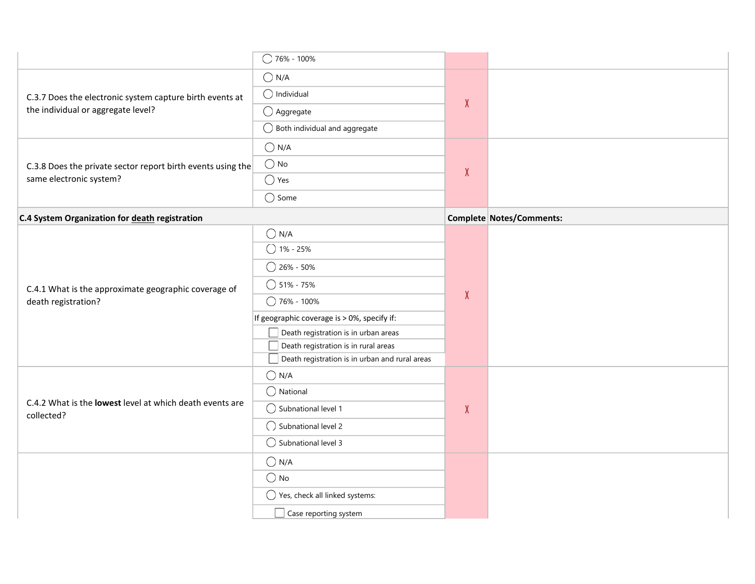|                                                                        | $\bigcirc$ 76% - 100%                                                                      |              |                          |
|------------------------------------------------------------------------|--------------------------------------------------------------------------------------------|--------------|--------------------------|
|                                                                        | $\bigcirc$ N/A                                                                             |              |                          |
| C.3.7 Does the electronic system capture birth events at               | $\bigcirc$ Individual                                                                      |              |                          |
| the individual or aggregate level?                                     | $\bigcirc$ Aggregate                                                                       | $\chi$       |                          |
|                                                                        | $\bigcirc$ Both individual and aggregate                                                   |              |                          |
|                                                                        | $\bigcirc$ N/A                                                                             |              |                          |
| C.3.8 Does the private sector report birth events using the            | $\bigcirc$ No                                                                              | $\chi$       |                          |
| same electronic system?                                                | $\bigcirc$ Yes                                                                             |              |                          |
|                                                                        | $\bigcirc$ Some                                                                            |              |                          |
| C.4 System Organization for death registration                         |                                                                                            |              | Complete Notes/Comments: |
|                                                                        | $\bigcirc$ N/A                                                                             |              |                          |
|                                                                        | $O$ 1% - 25%                                                                               |              |                          |
|                                                                        | $\bigcirc$ 26% - 50%                                                                       |              |                          |
| C.4.1 What is the approximate geographic coverage of                   | $\bigcirc$ 51% - 75%                                                                       | $\pmb{\chi}$ |                          |
| death registration?                                                    | $\bigcirc$ 76% - 100%                                                                      |              |                          |
|                                                                        | If geographic coverage is > 0%, specify if:<br>$\Box$ Death registration is in urban areas |              |                          |
|                                                                        | Death registration is in rural areas                                                       |              |                          |
|                                                                        | Death registration is in urban and rural areas                                             |              |                          |
|                                                                        |                                                                                            |              |                          |
|                                                                        | $\bigcirc$ N/A                                                                             |              |                          |
|                                                                        | $\bigcirc$ National                                                                        |              |                          |
| C.4.2 What is the lowest level at which death events are<br>collected? | $\bigcirc$ Subnational level 1                                                             | $\pmb{\chi}$ |                          |
|                                                                        | $\bigcirc$ Subnational level 2                                                             |              |                          |
|                                                                        | $\bigcirc$ Subnational level 3                                                             |              |                          |
|                                                                        | $\bigcirc$ N/A                                                                             |              |                          |
|                                                                        | $\bigcirc$ No                                                                              |              |                          |
|                                                                        | $\bigcirc$ Yes, check all linked systems:<br>Case reporting system                         |              |                          |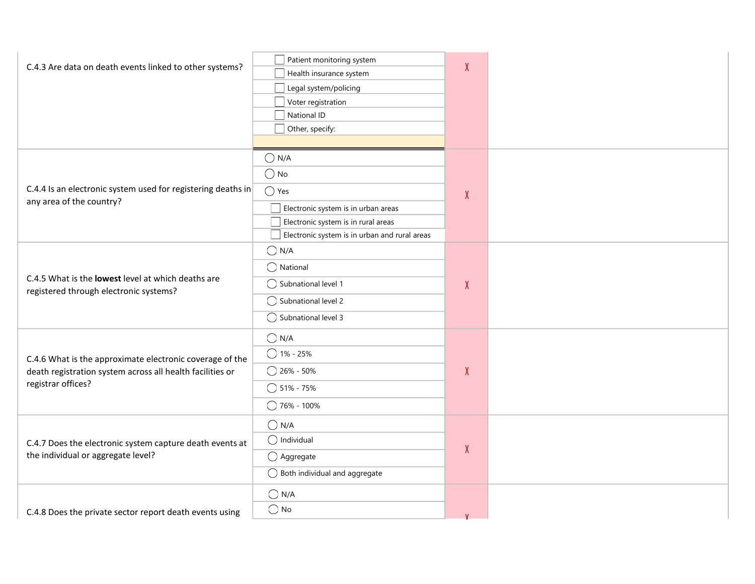| C.4.3 Are data on death events linked to other systems?                                      | Patient monitoring system<br>Health insurance system | X |  |
|----------------------------------------------------------------------------------------------|------------------------------------------------------|---|--|
|                                                                                              | Legal system/policing                                |   |  |
|                                                                                              | Voter registration                                   |   |  |
|                                                                                              | National ID                                          |   |  |
|                                                                                              | Other, specify:                                      |   |  |
|                                                                                              |                                                      |   |  |
|                                                                                              | $\bigcirc$ N/A                                       |   |  |
|                                                                                              | $\bigcirc$ No                                        |   |  |
| C.4.4 Is an electronic system used for registering deaths in                                 | $\bigcirc$ Yes                                       | X |  |
| any area of the country?                                                                     | Electronic system is in urban areas                  |   |  |
|                                                                                              | Electronic system is in rural areas                  |   |  |
|                                                                                              | Electronic system is in urban and rural areas        |   |  |
|                                                                                              | $\bigcirc$ N/A                                       |   |  |
|                                                                                              | $\bigcap$ National                                   |   |  |
| C.4.5 What is the lowest level at which deaths are<br>registered through electronic systems? | ◯ Subnational level 1                                | X |  |
|                                                                                              | ◯ Subnational level 2                                |   |  |
|                                                                                              | $\bigcirc$ Subnational level 3                       |   |  |
|                                                                                              | $\bigcirc$ N/A                                       |   |  |
| C.4.6 What is the approximate electronic coverage of the                                     | $\bigcirc$ 1% - 25%                                  |   |  |
| death registration system across all health facilities or                                    | $\bigcirc$ 26% - 50%                                 | X |  |
| registrar offices?                                                                           | $\bigcirc$ 51% - 75%                                 |   |  |
|                                                                                              | $\bigcirc$ 76% - 100%                                |   |  |
|                                                                                              | $\bigcirc$ N/A                                       |   |  |
| C.4.7 Does the electronic system capture death events at                                     | $\bigcap$ Individual                                 |   |  |
| the individual or aggregate level?                                                           | $\bigcirc$ Aggregate                                 | X |  |
|                                                                                              | $\bigcirc$ Both individual and aggregate             |   |  |
|                                                                                              | $\bigcirc$ N/A                                       |   |  |
| C.4.8 Does the private sector report death events using                                      | $\bigcirc$ No                                        |   |  |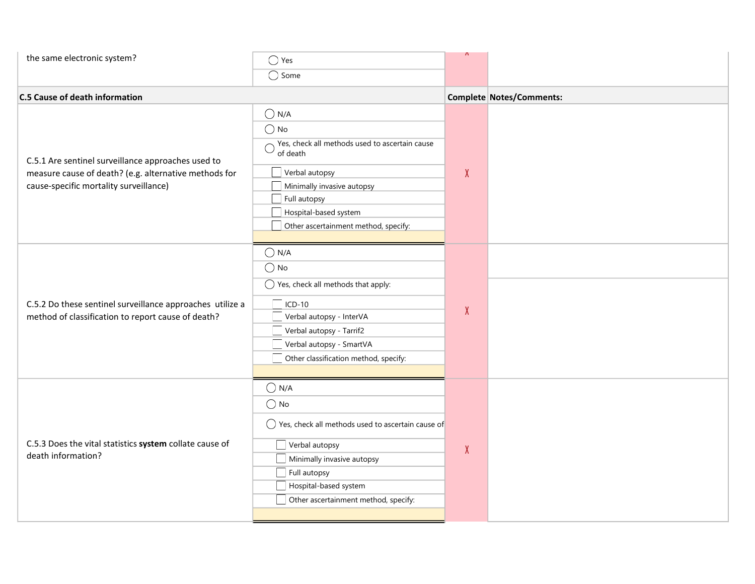| the same electronic system?                                                                                                                           | $\bigcirc$ Yes<br>$\overline{\bigcirc}$ Some                                                                                                                                                                                                     | Λ      |                          |
|-------------------------------------------------------------------------------------------------------------------------------------------------------|--------------------------------------------------------------------------------------------------------------------------------------------------------------------------------------------------------------------------------------------------|--------|--------------------------|
| <b>C.5 Cause of death information</b>                                                                                                                 |                                                                                                                                                                                                                                                  |        | Complete Notes/Comments: |
| C.5.1 Are sentinel surveillance approaches used to<br>measure cause of death? (e.g. alternative methods for<br>cause-specific mortality surveillance) | $\bigcirc$ N/A<br>$\bigcirc$ No<br>$\bigcirc$ Yes, check all methods used to ascertain cause<br>of death<br>Verbal autopsy<br>Minimally invasive autopsy<br>$\Box$ Full autopsy<br>Hospital-based system<br>Other ascertainment method, specify: | $\chi$ |                          |
| C.5.2 Do these sentinel surveillance approaches utilize a<br>method of classification to report cause of death?                                       | $\bigcirc$ N/A<br>$\bigcirc$ No<br>$\bigcirc$ Yes, check all methods that apply:<br>$\Box$ ICD-10<br>Verbal autopsy - InterVA<br>Verbal autopsy - Tarrif2<br>Verbal autopsy - SmartVA<br>Other classification method, specify:                   | $\chi$ |                          |
| C.5.3 Does the vital statistics system collate cause of<br>death information?                                                                         | $\bigcirc$ N/A<br>$\bigcirc$ No<br>$\bigcirc$ Yes, check all methods used to ascertain cause of<br>Verbal autopsy<br>Minimally invasive autopsy<br>Full autopsy<br>Hospital-based system<br>Other ascertainment method, specify:                 | $\chi$ |                          |